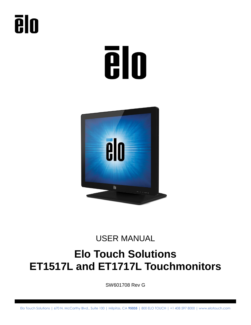# **Tilo**



#### USER MANUAL

### **Elo Touch Solutions ET1517L and ET1717L Touchmonitors**

SW601708 Rev G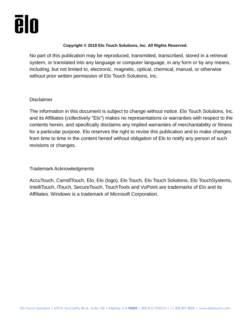#### **Copyright © 2018 Elo Touch Solutions, Inc. All Rights Reserved.**

No part of this publication may be reproduced, transmitted, transcribed, stored in a retrieval system, or translated into any language or computer language, in any form or by any means, including, but not limited to, electronic, magnetic, optical, chemical, manual, or otherwise without prior written permission of Elo Touch Solutions, Inc.

#### **Disclaimer**

The information in this document is subject to change without notice. Elo Touch Solutions, Inc. and its Affiliates (collectively "Elo") makes no representations or warranties with respect to the contents herein, and specifically disclaims any implied warranties of merchantability or fitness for a particular purpose. Elo reserves the right to revise this publication and to make changes from time to time in the content hereof without obligation of Elo to notify any person of such revisions or changes.

#### Trademark Acknowledgments

AccuTouch, CarrollTouch, Elo, Elo (logo), Elo Touch, Elo Touch Solutions, Elo TouchSystems, IntelliTouch, iTouch, SecureTouch, TouchTools and VuPoint are trademarks of Elo and its Affiliates. Windows is a trademark of Microsoft Corporation.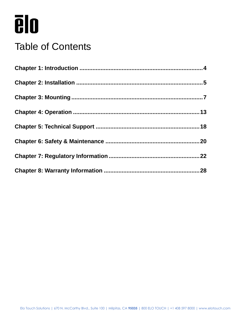### Table of Contents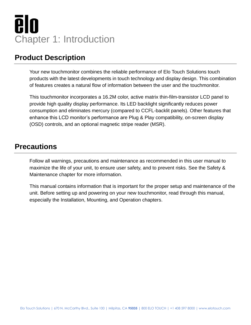## **ēlo** Chapter 1: Introduction

#### <span id="page-3-0"></span>**Product Description**

Your new touchmonitor combines the reliable performance of Elo Touch Solutions touch products with the latest developments in touch technology and display design. This combination of features creates a natural flow of information between the user and the touchmonitor.

This touchmonitor incorporates a 16.2M color, active matrix thin-film-transistor LCD panel to provide high quality display performance. Its LED backlight significantly reduces power consumption and eliminates mercury (compared to CCFL-backlit panels). Other features that enhance this LCD monitor's performance are Plug & Play compatibility, on-screen display (OSD) controls, and an optional magnetic stripe reader (MSR).

#### **Precautions**

Follow all warnings, precautions and maintenance as recommended in this user manual to maximize the life of your unit, to ensure user safety, and to prevent risks. See the Safety & Maintenance chapter for more information.

This manual contains information that is important for the proper setup and maintenance of the unit. Before setting up and powering on your new touchmonitor, read through this manual, especially the Installation, Mounting, and Operation chapters.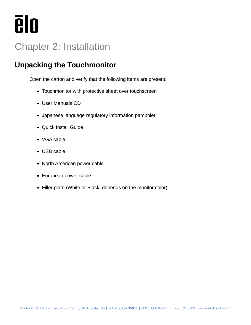

### <span id="page-4-0"></span>Chapter 2: Installation

#### **Unpacking the Touchmonitor**

Open the carton and verify that the following items are present:

- Touchmonitor with protective sheet over touchscreen
- User Manuals CD
- Japanese language regulatory information pamphlet
- Quick Install Guide
- VGA cable
- USB cable
- North American power cable
- European power cable
- Filler plate (White or Black, depends on the monitor color)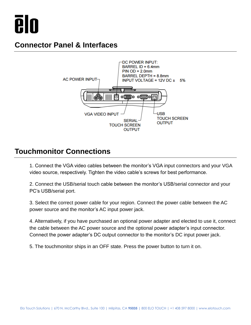

#### **Connector Panel & Interfaces**



#### **Touchmonitor Connections**

1. Connect the VGA video cables between the monitor's VGA input connectors and your VGA video source, respectively. Tighten the video cable's screws for best performance.

2. Connect the USB/serial touch cable between the monitor's USB/serial connector and your PC's USB/serial port.

3. Select the correct power cable for your region. Connect the power cable between the AC power source and the monitor's AC input power jack.

4. Alternatively, if you have purchased an optional power adapter and elected to use it, connect the cable between the AC power source and the optional power adapter's input connector. Connect the power adapter's DC output connector to the monitor's DC input power jack.

5. The touchmonitor ships in an OFF state. Press the power button to turn it on.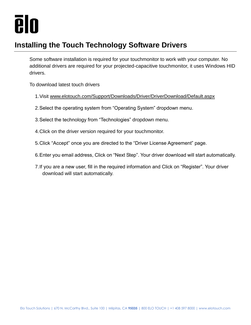

#### **Installing the Touch Technology Software Drivers**

Some software installation is required for your touchmonitor to work with your computer. No additional drivers are required for your projected-capacitive touchmonitor, it uses Windows HID drivers.

<span id="page-6-0"></span>To download latest touch drivers

- 1.Visit [www.elotouch.com/Support/Downloads/Driver/DriverDownload/Default.aspx](http://www.elotouch.com/Support/Downloads/Driver/DriverDownload/Default.aspx)
- 2.Select the operating system from "Operating System" dropdown menu.
- 3.Select the technology from "Technologies" dropdown menu.
- 4.Click on the driver version required for your touchmonitor.
- 5.Click "Accept" once you are directed to the "Driver License Agreement" page.
- 6.Enter you email address, Click on "Next Step". Your driver download will start automatically.
- 7.If you are a new user, fill in the required information and Click on "Register". Your driver download will start automatically.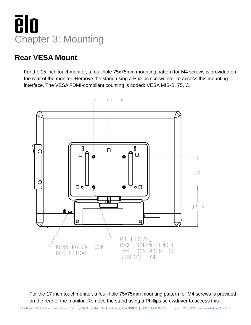

#### **Rear VESA Mount**

For the 15 inch touchmonitor, a four-hole 75x75mm mounting pattern for M4 screws is provided on the rear of the monitor. Remove the stand using a Phillips screwdriver to access this mounting interface. The VESA FDMI-compliant counting is coded: VESA MIS-B, 75, C.



For the 17 inch touchmonitor, a four-hole 75x75mm mounting pattern for M4 screws is provided on the rear of the monitor. Remove the stand using a Phillips screwdriver to access this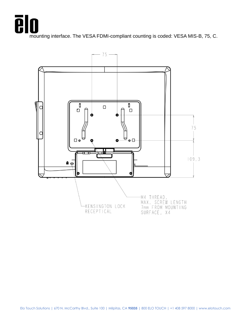mounting interface. The VESA FDMI-compliant counting is coded: VESA MIS-B, 75, C.

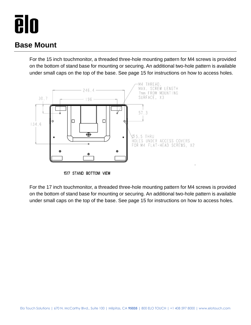#### **Base Mount**

For the 15 inch touchmonitor, a threaded three-hole mounting pattern for M4 screws is provided on the bottom of stand base for mounting or securing. An additional two-hole pattern is available under small caps on the top of the base. See page 15 for instructions on how to access holes.



<sup>1517</sup> STAND BOTTOM VIEW

For the 17 inch touchmonitor, a threaded three-hole mounting pattern for M4 screws is provided on the bottom of stand base for mounting or securing. An additional two-hole pattern is available under small caps on the top of the base. See page 15 for instructions on how to access holes.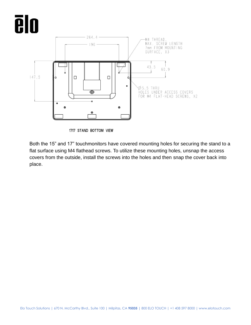

1717 STAND BOTTOM VIEW

Both the 15" and 17" touchmonitors have covered mounting holes for securing the stand to a flat surface using M4 flathead screws. To utilize these mounting holes, unsnap the access covers from the outside, install the screws into the holes and then snap the cover back into place.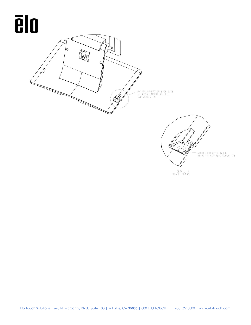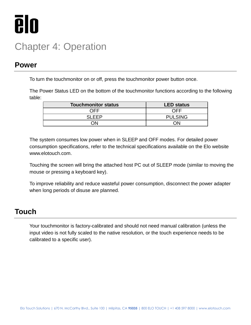

### <span id="page-12-0"></span>Chapter 4: Operation

#### **Power**

To turn the touchmonitor on or off, press the touchmonitor power button once.

The Power Status LED on the bottom of the touchmonitor functions according to the following table:

| <b>Touchmonitor status</b> | <b>LED status</b> |
|----------------------------|-------------------|
| ヿFF                        | NFF               |
| SI EED                     | <b>PULSING</b>    |
| חו                         |                   |

The system consumes low power when in SLEEP and OFF modes. For detailed power consumption specifications, refer to the technical specifications available on the Elo website www.elotouch.com.

Touching the screen will bring the attached host PC out of SLEEP mode (similar to moving the mouse or pressing a keyboard key).

To improve reliability and reduce wasteful power consumption, disconnect the power adapter when long periods of disuse are planned.

#### **Touch**

Your touchmonitor is factory-calibrated and should not need manual calibration (unless the input video is not fully scaled to the native resolution, or the touch experience needs to be calibrated to a specific user).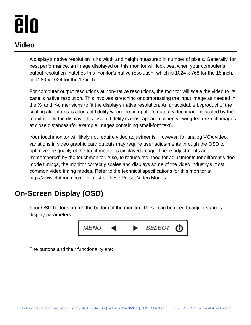#### **Video**

A display's native resolution is its width and height measured in number of pixels. Generally, for best performance, an image displayed on this monitor will look best when your computer's output resolution matches this monitor's native resolution, which is 1024 x 768 for the 15 inch, or 1280 x 1024 for the 17 inch.

For computer output resolutions at non-native resolutions, the monitor will scale the video to its panel's native resolution. This involves stretching or compressing the input image as needed in the X- and Y-dimensions to fit the display's native resolution. An unavoidable byproduct of the scaling algorithms is a loss of fidelity when the computer's output video image is scaled by the monitor to fit the display. This loss of fidelity is most apparent when viewing feature-rich images at close distances (for example images containing small-font text).

Your touchmonitor will likely not require video adjustments. However, for analog VGA video, variations in video graphic card outputs may require user adjustments through the OSD to optimize the quality of the touchmonitor's displayed image. These adjustments are "remembered" by the touchmonitor. Also, to reduce the need for adjustments for different video mode timings, the monitor correctly scales and displays some of the video industry's most common video timing modes. Refer to the technical specifications for this monitor at http://www.elotouch.com for a list of these Preset Video Modes.

#### **On-Screen Display (OSD)**

Four OSD buttons are on the bottom of the monitor. These can be used to adjust various display parameters.



The buttons and their functionality are: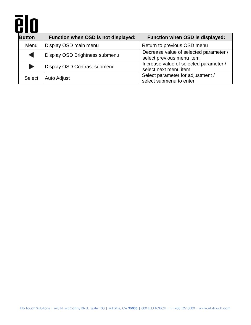| 8             |                                     |                                                                     |
|---------------|-------------------------------------|---------------------------------------------------------------------|
| <b>Button</b> | Function when OSD is not displayed: | Function when OSD is displayed:                                     |
| Menu          | Display OSD main menu               | Return to previous OSD menu                                         |
|               | Display OSD Brightness submenu      | Decrease value of selected parameter /<br>select previous menu item |
|               | Display OSD Contrast submenu        | Increase value of selected parameter /<br>select next menu item     |
| Select        | <b>Auto Adjust</b>                  | Select parameter for adjustment /<br>select submenu to enter        |

▘▊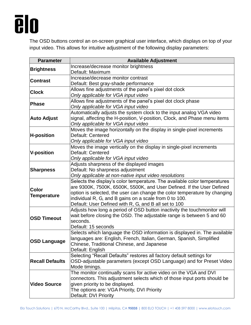

The OSD buttons control an on-screen graphical user interface, which displays on top of your input video. This allows for intuitive adjustment of the following display parameters:

| <b>Parameter</b>       | <b>Available Adjustment</b>                                               |
|------------------------|---------------------------------------------------------------------------|
| <b>Brightness</b>      | Increase/decrease monitor brightness                                      |
|                        | Default: Maximum                                                          |
| <b>Contrast</b>        | Increase/decrease monitor contrast                                        |
|                        | Default: Best gray-shade performance                                      |
|                        | Allows fine adjustments of the panel's pixel dot clock                    |
| <b>Clock</b>           | Only applicable for VGA input video                                       |
|                        | Allows fine adjustments of the panel's pixel dot clock phase              |
| Phase                  | Only applicable for VGA input video                                       |
|                        | Automatically adjusts the system clock to the input analog VGA video      |
| <b>Auto Adjust</b>     | signal, affecting the H-position, V-position, Clock, and Phase menu items |
|                        | Only applicable for VGA input video                                       |
|                        | Moves the image horizontally on the display in single-pixel increments    |
| <b>H-position</b>      | Default: Centered                                                         |
|                        | Only applicable for VGA input video                                       |
|                        | Moves the image vertically on the display in single-pixel increments      |
| <b>V-position</b>      | Default: Centered                                                         |
|                        | Only applicable for VGA input video                                       |
|                        | Adjusts sharpness of the displayed images                                 |
| <b>Sharpness</b>       | Default: No sharpness adjustment                                          |
|                        | Only applicable at non-native input video resolutions                     |
|                        | Selects the display's color temperature. The available color temperatures |
|                        | are 9300K, 7500K, 6500K, 5500K, and User Defined. If the User Defined     |
| <b>Color</b>           | option is selected, the user can change the color temperature by changing |
| Temperature            | individual R, G, and B gains on a scale from 0 to 100.                    |
|                        | Default: User Defined with R, G, and B all set to 100                     |
|                        | Adjusts how long a period of OSD button inactivity the touchmonitor will  |
|                        | wait before closing the OSD. The adjustable range is between 5 and 60     |
| <b>OSD Timeout</b>     | seconds.                                                                  |
|                        | Default: 15 seconds                                                       |
|                        | Selects which language the OSD information is displayed in. The available |
|                        | languages are: English, French, Italian, German, Spanish, Simplified      |
| <b>OSD Language</b>    | Chinese, Traditional Chinese, and Japanese                                |
|                        | Default: English                                                          |
| <b>Recall Defaults</b> | Selecting "Recall Defaults" restores all factory default settings for     |
|                        | OSD-adjustable parameters (except OSD Language) and for Preset Video      |
|                        | Mode timings.                                                             |
|                        | The monitor continually scans for active video on the VGA and DVI         |
|                        | connectors. This adjustment selects which of those input ports should be  |
| <b>Video Source</b>    | given priority to be displayed.                                           |
|                        | The options are: VGA Priority, DVI Priority                               |
|                        | Default: DVI Priority                                                     |
|                        |                                                                           |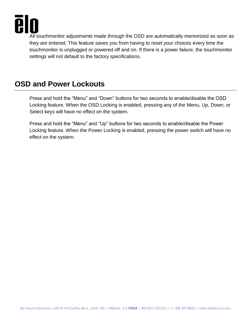

All touchmonitor adjustments made through the OSD are automatically memorized as soon as they are entered. This feature saves you from having to reset your choices every time the touchmonitor is unplugged or powered off and on. If there is a power failure, the touchmonitor settings will not default to the factory specifications.

#### **OSD and Power Lockouts**

Press and hold the "Menu" and "Down" buttons for two seconds to enable/disable the OSD Locking feature. When the OSD Locking is enabled, pressing any of the Menu, Up, Down, or Select keys will have no effect on the system.

Press and hold the "Menu" and "Up" buttons for two seconds to enable/disable the Power Locking feature. When the Power Locking is enabled, pressing the power switch will have no effect on the system.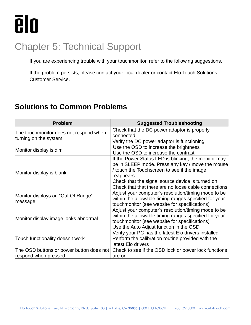

### <span id="page-17-0"></span>Chapter 5: Technical Support

If you are experiencing trouble with your touchmonitor, refer to the following suggestions.

If the problem persists, please contact your local dealer or contact Elo Touch Solutions Customer Service.

#### **Solutions to Common Problems**

| <b>Problem</b>                           | <b>Suggested Troubleshooting</b>                      |
|------------------------------------------|-------------------------------------------------------|
| The touchmonitor does not respond when   | Check that the DC power adaptor is properly           |
| turning on the system                    | connected                                             |
|                                          | Verify the DC power adaptor is functioning            |
| Monitor display is dim                   | Use the OSD to increase the brightness                |
|                                          | Use the OSD to increase the contrast                  |
|                                          | If the Power Status LED is blinking, the monitor may  |
|                                          | be in SLEEP mode. Press any key / move the mouse      |
|                                          | / touch the Touchscreen to see if the image           |
| Monitor display is blank                 | reappears                                             |
|                                          | Check that the signal source device is turned on      |
|                                          | Check that that there are no loose cable connections  |
|                                          | Adjust your computer's resolution/timing mode to be   |
| Monitor displays an "Out Of Range"       | within the allowable timing ranges specified for your |
| message                                  | touchmonitor (see website for specifications)         |
|                                          | Adjust your computer's resolution/timing mode to be   |
|                                          | within the allowable timing ranges specified for your |
| Monitor display image looks abnormal     | touchmonitor (see website for specifications)         |
|                                          | Use the Auto Adjust function in the OSD               |
|                                          | Verify your PC has the latest Elo drivers installed   |
| Touch functionality doesn't work         | Perform the calibration routine provided with the     |
|                                          | latest Elo drivers                                    |
| The OSD buttons or power button does not | Check to see if the OSD lock or power lock functions  |
| respond when pressed                     | are on                                                |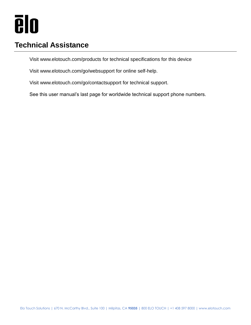#### **Technical Assistance**

Visit www.elotouch.com/products for technical specifications for this device

Visit www.elotouch.com/go/websupport for online self-help.

Visit www.elotouch.com/go/contactsupport for technical support.

See this user manual's last page for worldwide technical support phone numbers.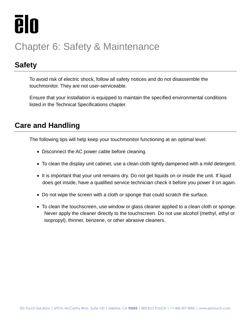

### <span id="page-19-0"></span>Chapter 6: Safety & Maintenance

#### **Safety**

To avoid risk of electric shock, follow all safety notices and do not disassemble the touchmonitor. They are not user-serviceable.

Ensure that your installation is equipped to maintain the specified environmental conditions listed in the Technical Specifications chapter.

#### **Care and Handling**

The following tips will help keep your touchmonitor functioning at an optimal level:

- Disconnect the AC power cable before cleaning.
- To clean the display unit cabinet, use a clean cloth lightly dampened with a mild detergent.
- It is important that your unit remains dry. Do not get liquids on or inside the unit. If liquid does get inside, have a qualified service technician check it before you power it on again.
- Do not wipe the screen with a cloth or sponge that could scratch the surface.
- To clean the touchscreen, use window or glass cleaner applied to a clean cloth or sponge. Never apply the cleaner directly to the touchscreen. Do not use alcohol (methyl, ethyl or isopropyl), thinner, benzene, or other abrasive cleaners.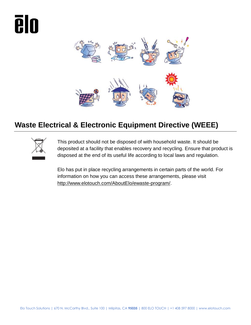# **Alo**



#### **Waste Electrical & Electronic Equipment Directive (WEEE)**



This product should not be disposed of with household waste. It should be deposited at a facility that enables recovery and recycling. Ensure that product is disposed at the end of its useful life according to local laws and regulation.

Elo has put in place recycling arrangements in certain parts of the world. For information on how you can access these arrangements, please visit [http://www.elotouch.com/AboutElo/ewaste-program/.](http://www.elotouch.com/AboutElo/ewaste-program/)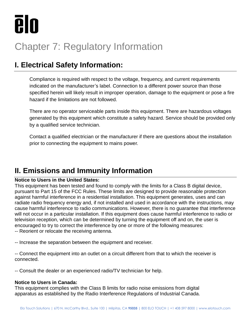

### <span id="page-21-0"></span>Chapter 7: Regulatory Information

#### **I. Electrical Safety Information:**

Compliance is required with respect to the voltage, frequency, and current requirements indicated on the manufacturer's label. Connection to a different power source than those specified herein will likely result in improper operation, damage to the equipment or pose a fire hazard if the limitations are not followed.

There are no operator serviceable parts inside this equipment. There are hazardous voltages generated by this equipment which constitute a safety hazard. Service should be provided only by a qualified service technician.

Contact a qualified electrician or the manufacturer if there are questions about the installation prior to connecting the equipment to mains power.

#### **II. Emissions and Immunity Information**

#### **Notice to Users in the United States:**

This equipment has been tested and found to comply with the limits for a Class B digital device, pursuant to Part 15 of the FCC Rules. These limits are designed to provide reasonable protection against harmful interference in a residential installation. This equipment generates, uses and can radiate radio frequency energy and, if not installed and used in accordance with the instructions, may cause harmful interference to radio communications. However, there is no guarantee that interference will not occur in a particular installation. If this equipment does cause harmful interference to radio or television reception, which can be determined by turning the equipment off and on, the user is encouraged to try to correct the interference by one or more of the following measures: -- Reorient or relocate the receiving antenna.

-- Increase the separation between the equipment and receiver.

-- Connect the equipment into an outlet on a circuit different from that to which the receiver is connected.

-- Consult the dealer or an experienced radio/TV technician for help.

#### **Notice to Users in Canada:**

This equipment complies with the Class B limits for radio noise emissions from digital apparatus as established by the Radio Interference Regulations of Industrial Canada.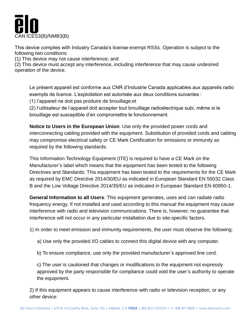

This device complies with Industry Canada's license-exempt RSSs. Operation is subject to the following two conditions:

(1) This device may not cause interference; and

(2) This device must accept any interference, including interference that may cause undesired operation of the device.

Le présent appareil est conforme aux CNR d'Industrie Canada applicables aux appareils radio exempts de licence. L'exploitation est autorisée aux deux conditions suivantes :

(1) l'appareil ne doit pas produire de brouillage;et

(2) l'utilisateur de l'appareil doit accepter tout brouillage radioélectrique subi, même si le brouillage est susceptible d'en compromettre le fonctionnement.

**Notice to Users in the European Union**: Use only the provided power cords and interconnecting cabling provided with the equipment. Substitution of provided cords and cabling may compromise electrical safety or CE Mark Certification for emissions or immunity as required by the following standards:

This Information Technology Equipment (ITE) is required to have a CE Mark on the Manufacturer's label which means that the equipment has been tested to the following Directives and Standards: This equipment has been tested to the requirements for the CE Mark as required by EMC Directive 2014/30/EU as indicated in European Standard EN 55032 Class B and the Low Voltage Directive 2014/35/EU as indicated in European Standard EN 60950-1.

**General Information to all Users**: This equipment generates, uses and can radiate radio frequency energy. If not installed and used according to this manual the equipment may cause interference with radio and television communications. There is, however, no guarantee that interference will not occur in any particular installation due to site-specific factors.

1) In order to meet emission and immunity requirements, the user must observe the following:

- a) Use only the provided I/O cables to connect this digital device with any computer.
- b) To ensure compliance, use only the provided manufacturer's approved line cord.

c) The user is cautioned that changes or modifications to the equipment not expressly approved by the party responsible for compliance could void the user's authority to operate the equipment.

2) If this equipment appears to cause interference with radio or television reception, or any other device: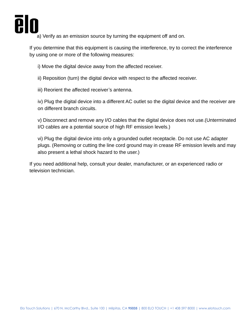

a) Verify as an emission source by turning the equipment off and on.

If you determine that this equipment is causing the interference, try to correct the interference by using one or more of the following measures:

i) Move the digital device away from the affected receiver.

ii) Reposition (turn) the digital device with respect to the affected receiver.

iii) Reorient the affected receiver's antenna.

iv) Plug the digital device into a different AC outlet so the digital device and the receiver are on different branch circuits.

v) Disconnect and remove any I/O cables that the digital device does not use.(Unterminated I/O cables are a potential source of high RF emission levels.)

vi) Plug the digital device into only a grounded outlet receptacle. Do not use AC adapter plugs. (Removing or cutting the line cord ground may in crease RF emission levels and may also present a lethal shock hazard to the user.)

If you need additional help, consult your dealer, manufacturer, or an experienced radio or television technician.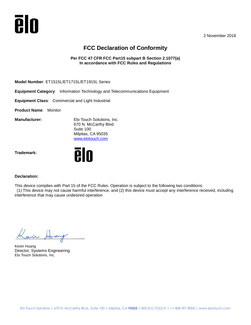

2 November 2018

#### **FCC Declaration of Conformity**

**Per FCC 47 CFR FCC Part15 subpart B Section 2.1077(a) In accordance with FCC Rules and Regulations**

**Model Number**: ET1515L/ET1715L/ET1915L Series

**Equipment Category**: Information Technology and Telecommunications Equipment

**Equipment Class**: Commercial and Light Industrial

**Product Name**: Monitor

**Manufacturer:** Elo Touch Solutions, Inc. 670 N. McCarthy Blvd. Suite 100 Milpitas, CA 95035 [www.elotouch.com](http://www.elotouch.com/)

**Trademark:** 



#### **Declaration:**

This device complies with Part 15 of the FCC Rules. Operation is subject to the following two conditions:

(1) This device may not cause harmful interference, and (2) this device must accept any interference received, including interference that may cause undesired operation

 $\frac{1}{2}$ 

Kevin Huang Director, Systems Engineering Elo Touch Solutions, Inc.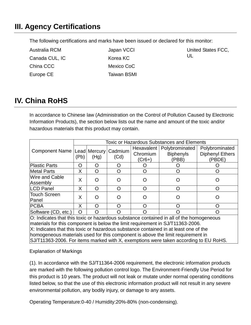#### **III. Agency Certifications**

The following certifications and marks have been issued or declared for this monitor:

| Australia RCM  | Japan VCCI  | United States FCC, |
|----------------|-------------|--------------------|
| Canada CUL, IC | Korea KC    | UL                 |
| China CCC      | Mexico CoC  |                    |
| Europe CE      | Taiwan BSMI |                    |

#### **IV. China RoHS**

In accordance to Chinese law (Administration on the Control of Pollution Caused by Electronic Information Products), the section below lists out the name and amount of the toxic and/or hazardous materials that this product may contain.

|                                                                                                                                                                           | <b>Toxic or Hazardous Substances and Elements</b> |      |      |                        |                                    |                                          |
|---------------------------------------------------------------------------------------------------------------------------------------------------------------------------|---------------------------------------------------|------|------|------------------------|------------------------------------|------------------------------------------|
| Component Name   Lead   Mercury   Cadmium                                                                                                                                 | (Pb)                                              | (Hg) | (Cd) | Hexavalent<br>Chromium | Polybrominated<br><b>Biphenyls</b> | Polybrominated<br><b>Diphenyl Ethers</b> |
|                                                                                                                                                                           |                                                   |      |      | $(Cr6+)$               | (PBB)                              | (PBDE)                                   |
| Plastic Parts                                                                                                                                                             | O                                                 | Ω    | O    |                        |                                    |                                          |
| Metal Parts                                                                                                                                                               | X                                                 | O    | O    |                        |                                    |                                          |
| Wire and Cable<br>Assembly                                                                                                                                                | X                                                 | O    | ( )  |                        |                                    |                                          |
| <b>LCD Panel</b>                                                                                                                                                          | X                                                 | Ω    | O    | Ω                      |                                    |                                          |
| <b>Touch Screen</b><br>Panel                                                                                                                                              | X                                                 | ∩    |      |                        |                                    |                                          |
| <b>PCBA</b>                                                                                                                                                               | X                                                 | ∩    | ∩    |                        |                                    |                                          |
| Software (CD, etc.)                                                                                                                                                       | O                                                 | Ω    | ( )  |                        |                                    |                                          |
| O: Indicates that this toxic or hazardous substance contained in all of the homogeneous<br>materials for this component is below the limit requirement in SJ/T11363-2006. |                                                   |      |      |                        |                                    |                                          |

X: Indicates that this toxic or hazardous substance contained in at least one of the homogeneous materials used for this component is above the limit requirement in SJ/T11363-2006. For items marked with X, exemptions were taken according to EU RoHS.

Explanation of Markings

(1). In accordance with the SJ/T11364-2006 requirement, the electronic information products are marked with the following pollution control logo. The Environment-Friendly Use Period for this product is 10 years. The product will not leak or mutate under normal operating conditions listed below, so that the use of this electronic information product will not result in any severe environmental pollution, any bodily injury, or damage to any assets.

Operating Temperature:0-40 / Humidity:20%-80% (non-condensing).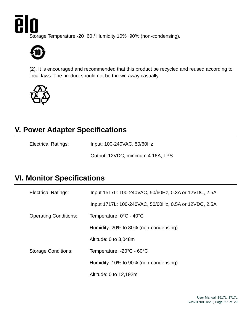Ā IO

Storage Temperature:-20~60 / Humidity:10%~90% (non-condensing).



(2). It is encouraged and recommended that this product be recycled and reused according to local laws. The product should not be thrown away casually.



#### **V. Power Adapter Specifications**

| <b>Electrical Ratings:</b> | Input: 100-240VAC, 50/60Hz |
|----------------------------|----------------------------|
|----------------------------|----------------------------|

Output: 12VDC, minimum 4.16A, LPS

#### **VI. Monitor Specifications**

| <b>Electrical Ratings:</b>   | Input 1517L: 100-240VAC, 50/60Hz, 0.3A or 12VDC, 2.5A |  |  |  |
|------------------------------|-------------------------------------------------------|--|--|--|
|                              | Input 1717L: 100-240VAC, 50/60Hz, 0.5A or 12VDC, 2.5A |  |  |  |
| <b>Operating Conditions:</b> | Temperature: 0°C - 40°C                               |  |  |  |
|                              | Humidity: 20% to 80% (non-condensing)                 |  |  |  |
|                              | Altitude: 0 to 3,048m                                 |  |  |  |
| <b>Storage Conditions:</b>   | Temperature: -20°C - 60°C                             |  |  |  |
|                              | Humidity: 10% to 90% (non-condensing)                 |  |  |  |
|                              | Altitude: 0 to 12,192m                                |  |  |  |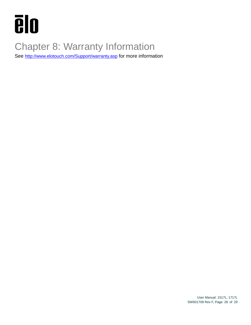

### <span id="page-27-0"></span>Chapter 8: Warranty Information

See <http://www.elotouch.com/Support/warranty.asp> for more information